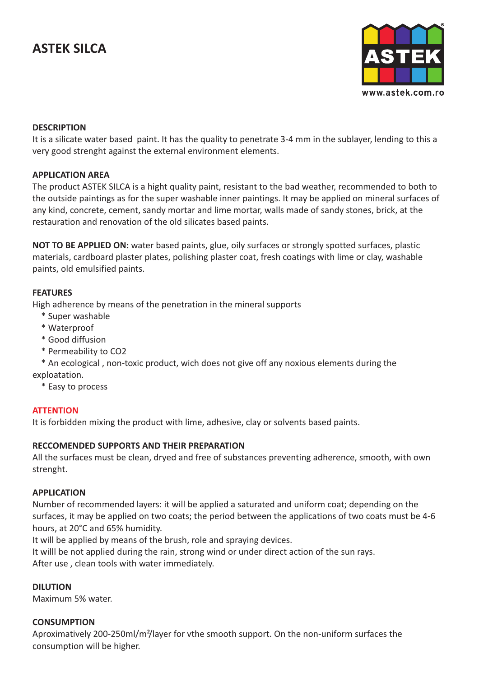# **ASTEK SILCA**



#### **DESCRIPTION**

It is a silicate water based paint. It has the quality to penetrate 3-4 mm in the sublayer, lending to this a very good strenght against the external environment elements.

#### **APPLICATION AREA**

The product ASTEK SILCA is a hight quality paint, resistant to the bad weather, recommended to both to the outside paintings as for the super washable inner paintings. It may be applied on mineral surfaces of any kind, concrete, cement, sandy mortar and lime mortar, walls made of sandy stones, brick, at the restauration and renovation of the old silicates based paints.

**NOT TO BE APPLIED ON:** water based paints, glue, oily surfaces or strongly spotted surfaces, plastic materials, cardboard plaster plates, polishing plaster coat, fresh coatings with lime or clay, washable paints, old emulsified paints.

#### **FEATURES**

High adherence by means of the penetration in the mineral supports

- \* Super washable
- \* Waterproof
- \* Good diffusion
- \* Permeability to CO2

 \* An ecological , non-toxic product, wich does not give off any noxious elements during the exploatation.

\* Easy to process

#### **ATTENTION**

It is forbidden mixing the product with lime, adhesive, clay or solvents based paints.

#### **RECCOMENDED SUPPORTS AND THEIR PREPARATION**

All the surfaces must be clean, dryed and free of substances preventing adherence, smooth, with own strenght.

#### **APPLICATION**

Number of recommended layers: it will be applied a saturated and uniform coat; depending on the surfaces, it may be applied on two coats; the period between the applications of two coats must be 4-6 hours, at 20°C and 65% humidity.

It will be applied by means of the brush, role and spraying devices.

It willl be not applied during the rain, strong wind or under direct action of the sun rays. After use , clean tools with water immediately.

## **DILUTION**

Maximum 5% water.

## **CONSUMPTION**

Aproximatively 200-250ml/m²/layer for vthe smooth support. On the non-uniform surfaces the consumption will be higher.